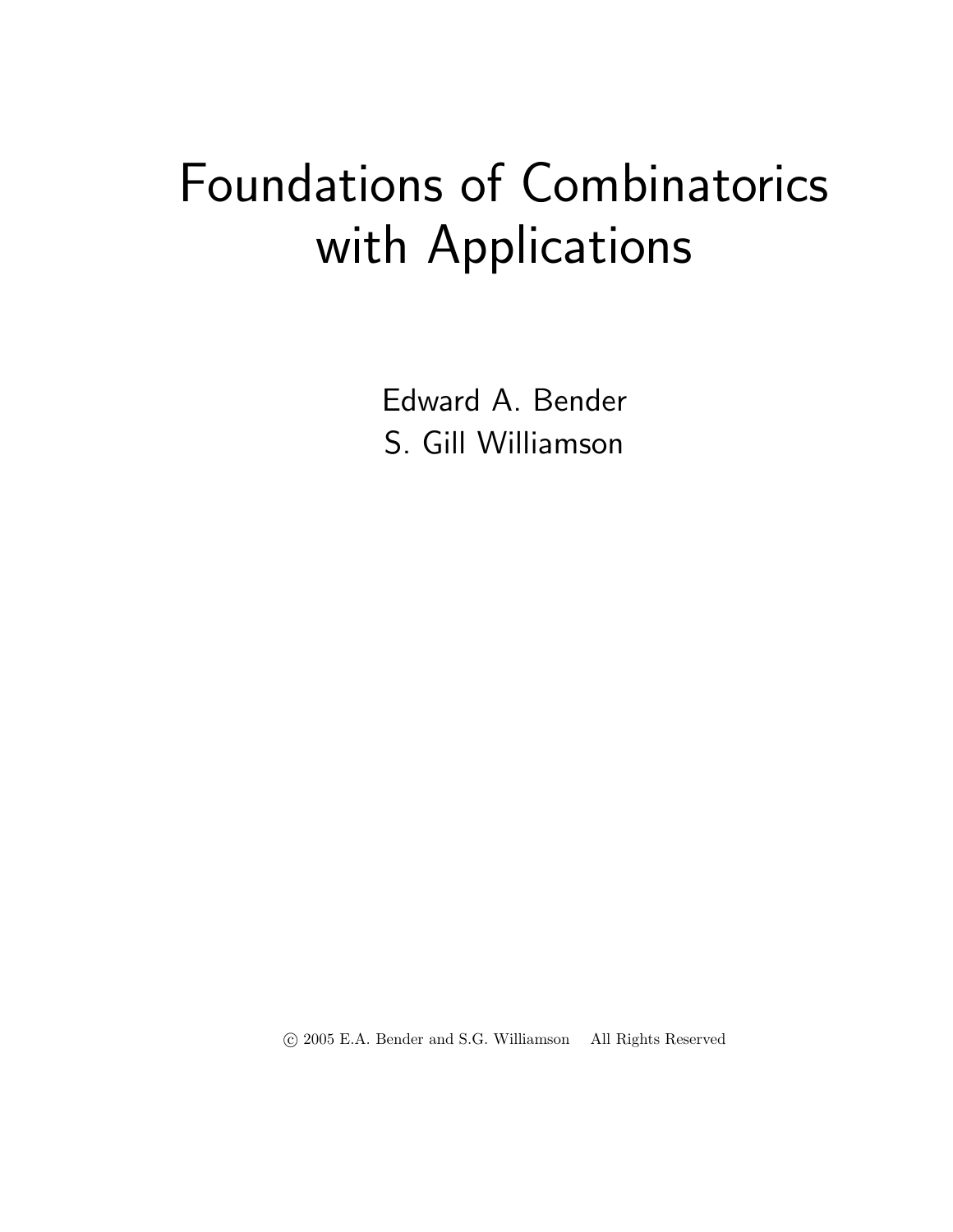## Foundations of Combinatorics with Applications

Edward A. Bender S. Gill Williamson

c 2005 E.A. Bender and S.G. Williamson All Rights Reserved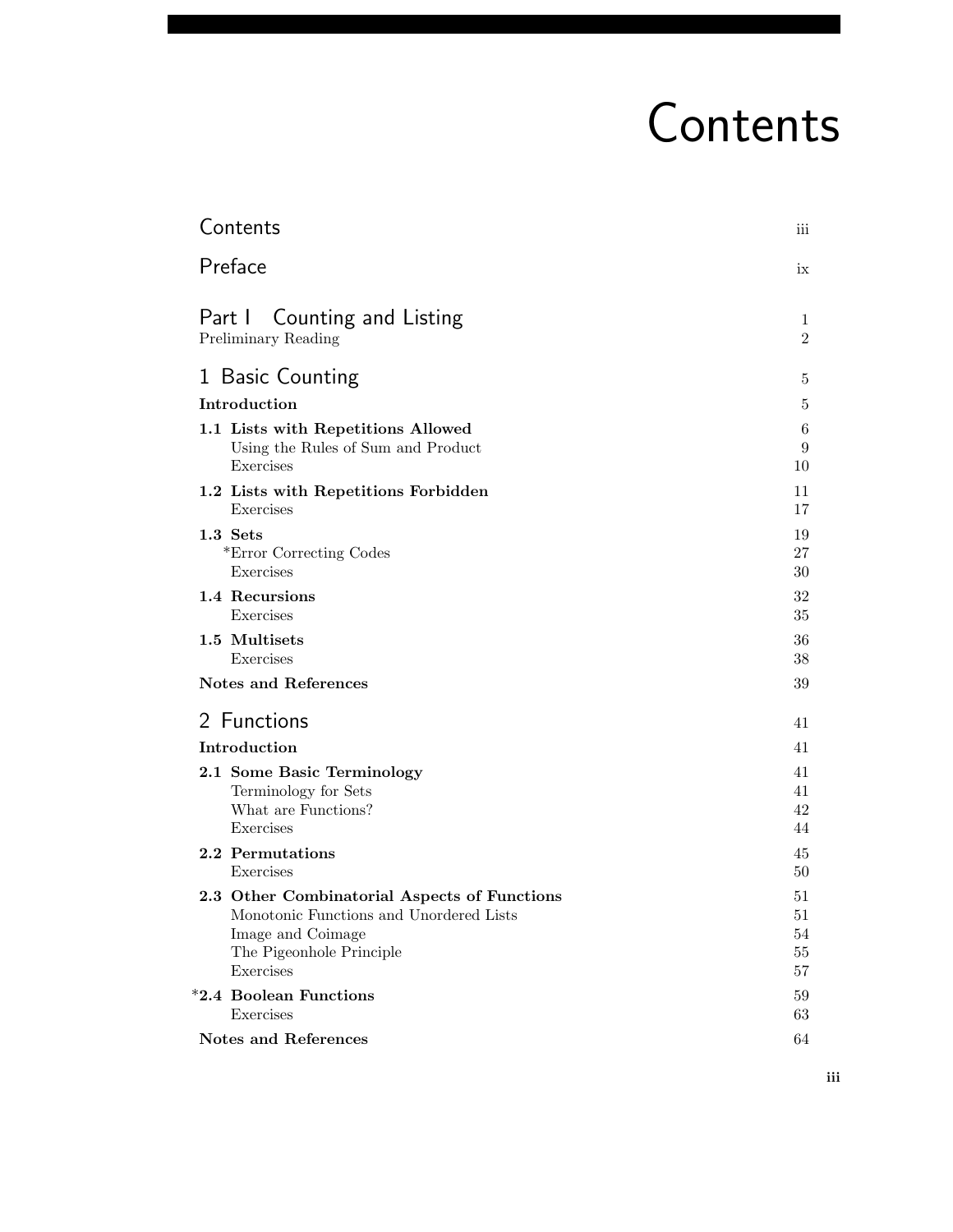# Contents

| Contents                                     | iii            |
|----------------------------------------------|----------------|
| Preface                                      | ix             |
| Part I Counting and Listing                  | 1              |
| Preliminary Reading                          | $\overline{2}$ |
| 1 Basic Counting                             | 5              |
| Introduction                                 | 5              |
| 1.1 Lists with Repetitions Allowed           | 6              |
| Using the Rules of Sum and Product           | 9              |
| Exercises                                    | 10             |
| 1.2 Lists with Repetitions Forbidden         | 11             |
| Exercises                                    | 17             |
| 1.3 Sets                                     | 19             |
| *Error Correcting Codes                      | 27             |
| Exercises                                    | 30             |
| 1.4 Recursions                               | 32             |
| Exercises                                    | 35             |
| 1.5 Multisets                                | 36             |
| Exercises                                    | 38             |
| <b>Notes and References</b>                  | 39             |
| 2 Functions                                  | 41             |
| Introduction                                 | 41             |
| 2.1 Some Basic Terminology                   | 41             |
| Terminology for Sets                         | 41             |
| What are Functions?                          | 42             |
| Exercises                                    | 44             |
| 2.2 Permutations                             | 45             |
| Exercises                                    | 50             |
| 2.3 Other Combinatorial Aspects of Functions | 51             |
| Monotonic Functions and Unordered Lists      | $51\,$         |
| Image and Coimage                            | 54             |
| The Pigeonhole Principle                     | 55             |
| Exercises                                    | 57             |
| *2.4 Boolean Functions                       | 59             |
| Exercises                                    | 63             |
| Notes and References                         | 64             |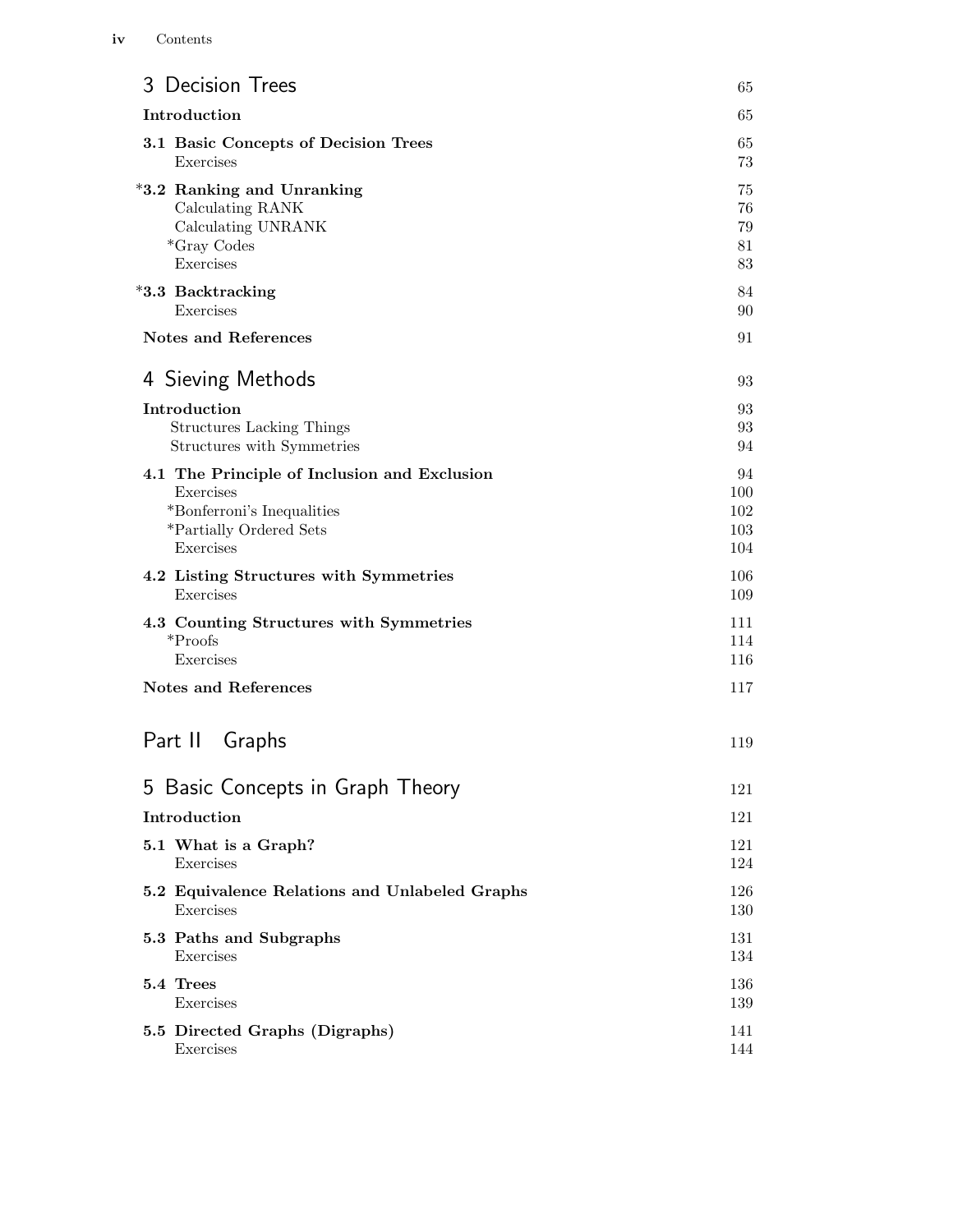| 3 Decision Trees                               | 65  |
|------------------------------------------------|-----|
| Introduction                                   | 65  |
| 3.1 Basic Concepts of Decision Trees           | 65  |
| Exercises                                      | 73  |
| *3.2 Ranking and Unranking                     | 75  |
| Calculating RANK                               | 76  |
| Calculating UNRANK                             | 79  |
| *Gray Codes                                    | 81  |
| Exercises                                      | 83  |
| *3.3 Backtracking                              | 84  |
| Exercises                                      | 90  |
| <b>Notes and References</b>                    | 91  |
| 4 Sieving Methods                              | 93  |
| Introduction                                   | 93  |
| <b>Structures Lacking Things</b>               | 93  |
| Structures with Symmetries                     | 94  |
| 4.1 The Principle of Inclusion and Exclusion   | 94  |
| Exercises                                      | 100 |
| *Bonferroni's Inequalities                     | 102 |
| *Partially Ordered Sets                        | 103 |
| Exercises                                      | 104 |
| 4.2 Listing Structures with Symmetries         | 106 |
| Exercises                                      | 109 |
| 4.3 Counting Structures with Symmetries        | 111 |
| $*Proofs$                                      | 114 |
| Exercises                                      | 116 |
| <b>Notes and References</b>                    | 117 |
| Part II Graphs                                 | 119 |
| 5 Basic Concepts in Graph Theory               | 121 |
| Introduction                                   | 121 |
| 5.1 What is a Graph?                           | 121 |
| Exercises                                      | 124 |
| 5.2 Equivalence Relations and Unlabeled Graphs | 126 |
| Exercises                                      | 130 |
| 5.3 Paths and Subgraphs                        | 131 |
| Exercises                                      | 134 |
| 5.4 Trees                                      | 136 |
| Exercises                                      | 139 |
| 5.5 Directed Graphs (Digraphs)                 | 141 |
| Exercises                                      | 144 |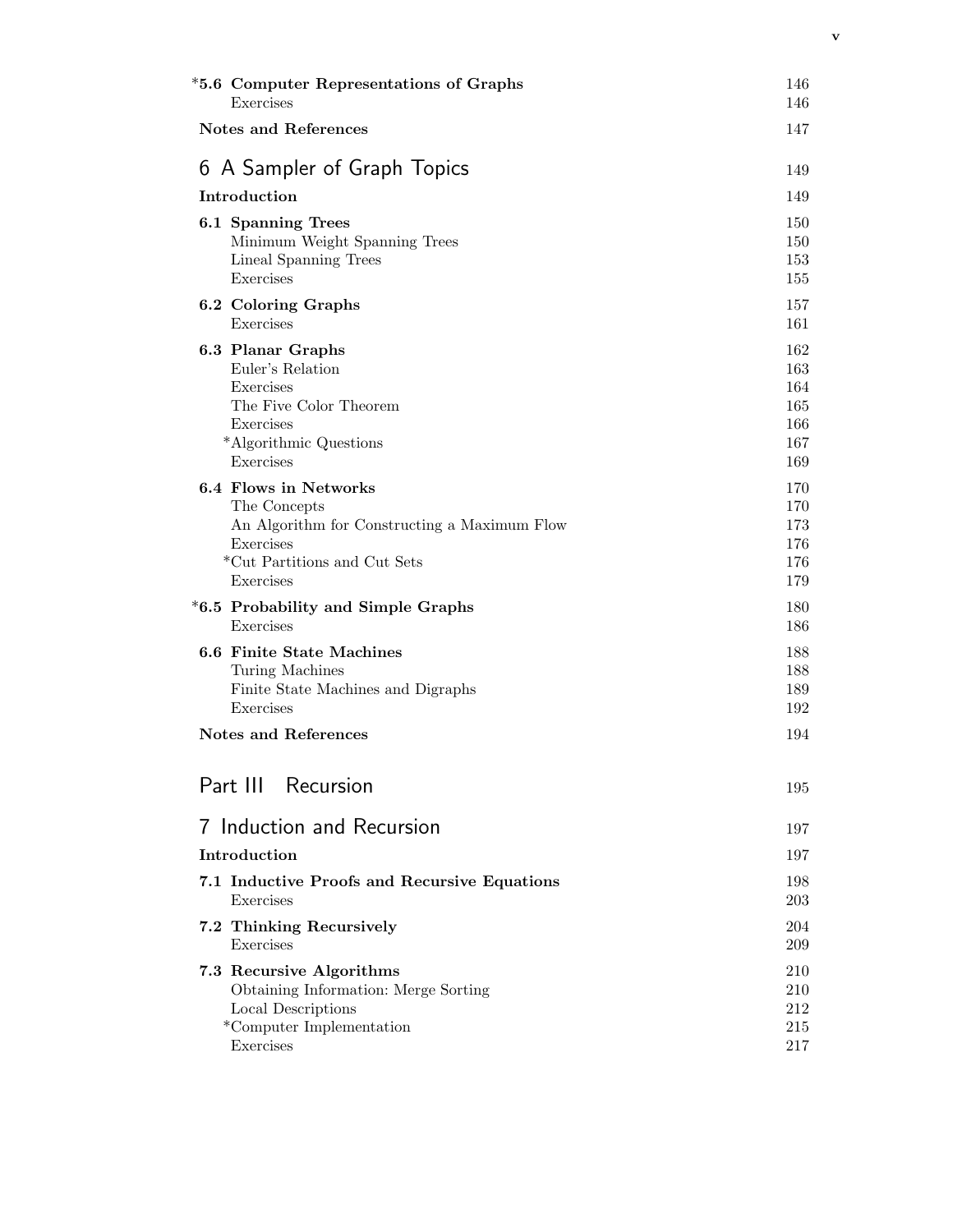| *5.6 Computer Representations of Graphs<br>Exercises | 146<br>146 |
|------------------------------------------------------|------------|
| <b>Notes and References</b>                          | 147        |
| 6 A Sampler of Graph Topics                          | 149        |
| Introduction                                         | 149        |
|                                                      |            |
| 6.1 Spanning Trees<br>Minimum Weight Spanning Trees  | 150<br>150 |
| Lineal Spanning Trees                                | 153        |
| Exercises                                            | 155        |
| 6.2 Coloring Graphs                                  | 157        |
| Exercises                                            | 161        |
| 6.3 Planar Graphs                                    | 162        |
| Euler's Relation                                     | 163        |
| Exercises                                            | 164        |
| The Five Color Theorem                               | 165        |
| Exercises                                            | 166        |
| *Algorithmic Questions<br>Exercises                  | 167<br>169 |
|                                                      |            |
| 6.4 Flows in Networks<br>The Concepts                | 170<br>170 |
| An Algorithm for Constructing a Maximum Flow         | 173        |
| Exercises                                            | 176        |
| *Cut Partitions and Cut Sets                         | 176        |
| Exercises                                            | 179        |
| *6.5 Probability and Simple Graphs                   | 180        |
| Exercises                                            | 186        |
| <b>6.6 Finite State Machines</b>                     | 188        |
| Turing Machines                                      | 188        |
| Finite State Machines and Digraphs                   | 189        |
| Exercises                                            | 192        |
| <b>Notes and References</b>                          | 194        |
| Part III Recursion                                   | 195        |
|                                                      |            |
| 7 Induction and Recursion                            | 197        |
| Introduction                                         | 197        |
| 7.1 Inductive Proofs and Recursive Equations         | 198        |
| Exercises                                            | 203        |
| 7.2 Thinking Recursively                             | 204        |
| Exercises                                            | 209        |
| 7.3 Recursive Algorithms                             | 210        |
| Obtaining Information: Merge Sorting                 | 210        |
| Local Descriptions                                   | 212        |
| *Computer Implementation                             | 215        |
| Exercises                                            | 217        |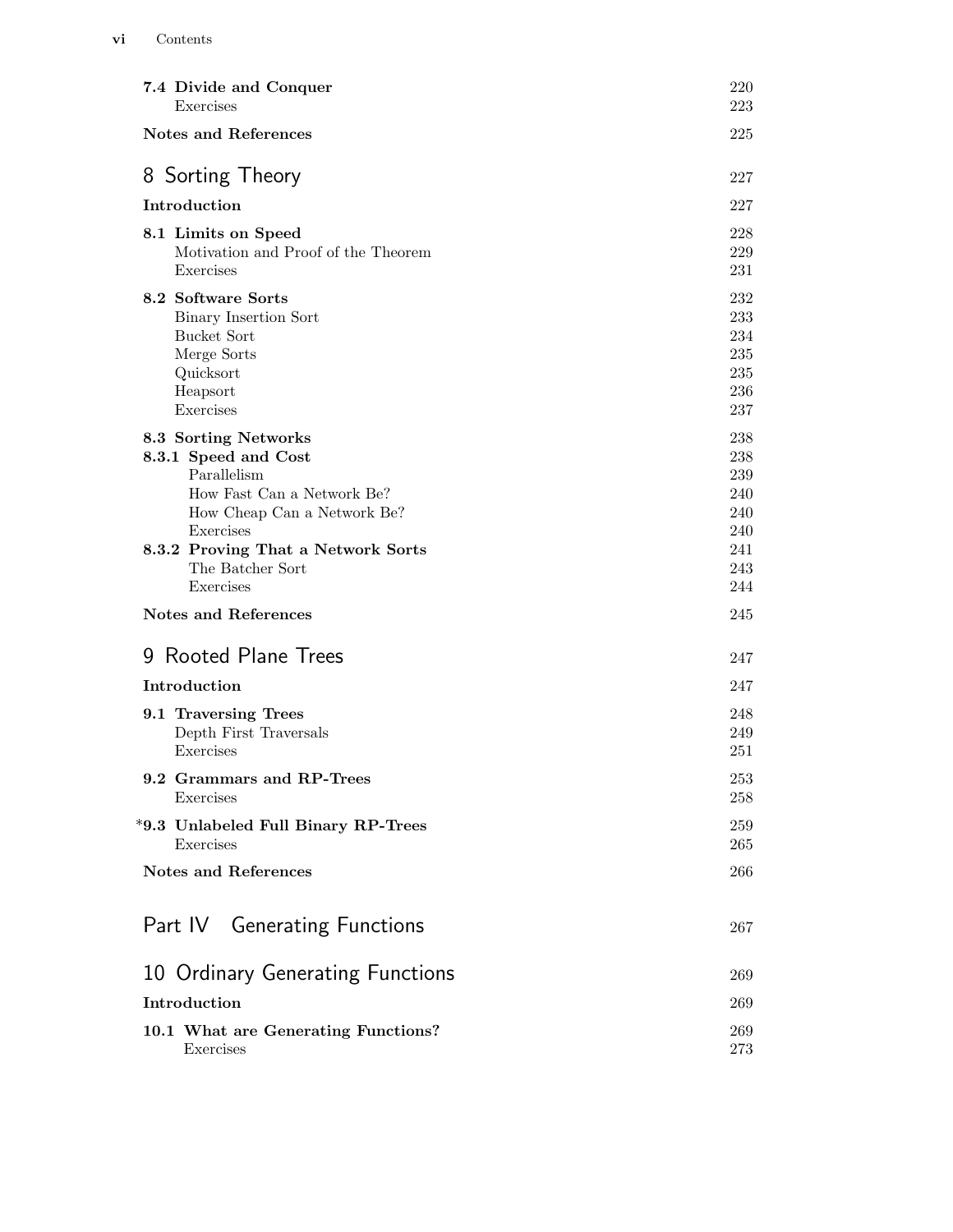| 7.4 Divide and Conquer<br>Exercises                                                                                                                                                                          | 220<br>223                                                  |
|--------------------------------------------------------------------------------------------------------------------------------------------------------------------------------------------------------------|-------------------------------------------------------------|
| <b>Notes and References</b>                                                                                                                                                                                  | 225                                                         |
| 8 Sorting Theory                                                                                                                                                                                             | 227                                                         |
| Introduction                                                                                                                                                                                                 | 227                                                         |
| 8.1 Limits on Speed<br>Motivation and Proof of the Theorem<br>Exercises                                                                                                                                      | 228<br>229<br>231                                           |
| 8.2 Software Sorts<br>Binary Insertion Sort<br>Bucket Sort<br>Merge Sorts<br>Quicksort<br>Heapsort<br>Exercises                                                                                              | 232<br>233<br>234<br>235<br>235<br>236<br>237               |
| 8.3 Sorting Networks<br>8.3.1 Speed and Cost<br>Parallelism<br>How Fast Can a Network Be?<br>How Cheap Can a Network Be?<br>Exercises<br>8.3.2 Proving That a Network Sorts<br>The Batcher Sort<br>Exercises | 238<br>238<br>239<br>240<br>240<br>240<br>241<br>243<br>244 |
| <b>Notes and References</b>                                                                                                                                                                                  | 245                                                         |
| 9 Rooted Plane Trees                                                                                                                                                                                         | 247                                                         |
| Introduction                                                                                                                                                                                                 | 247                                                         |
| 9.1 Traversing Trees<br>Depth First Traversals<br>Exercises                                                                                                                                                  | 248<br>249<br>251                                           |
| 9.2 Grammars and RP-Trees<br>Exercises                                                                                                                                                                       | 253<br>258                                                  |
| *9.3 Unlabeled Full Binary RP-Trees<br>Exercises                                                                                                                                                             | 259<br>265                                                  |
| <b>Notes and References</b>                                                                                                                                                                                  | 266                                                         |
| Part IV Generating Functions                                                                                                                                                                                 | 267                                                         |
| 10 Ordinary Generating Functions                                                                                                                                                                             | 269                                                         |
| Introduction                                                                                                                                                                                                 | 269                                                         |
| 10.1 What are Generating Functions?<br>Exercises                                                                                                                                                             | 269<br>273                                                  |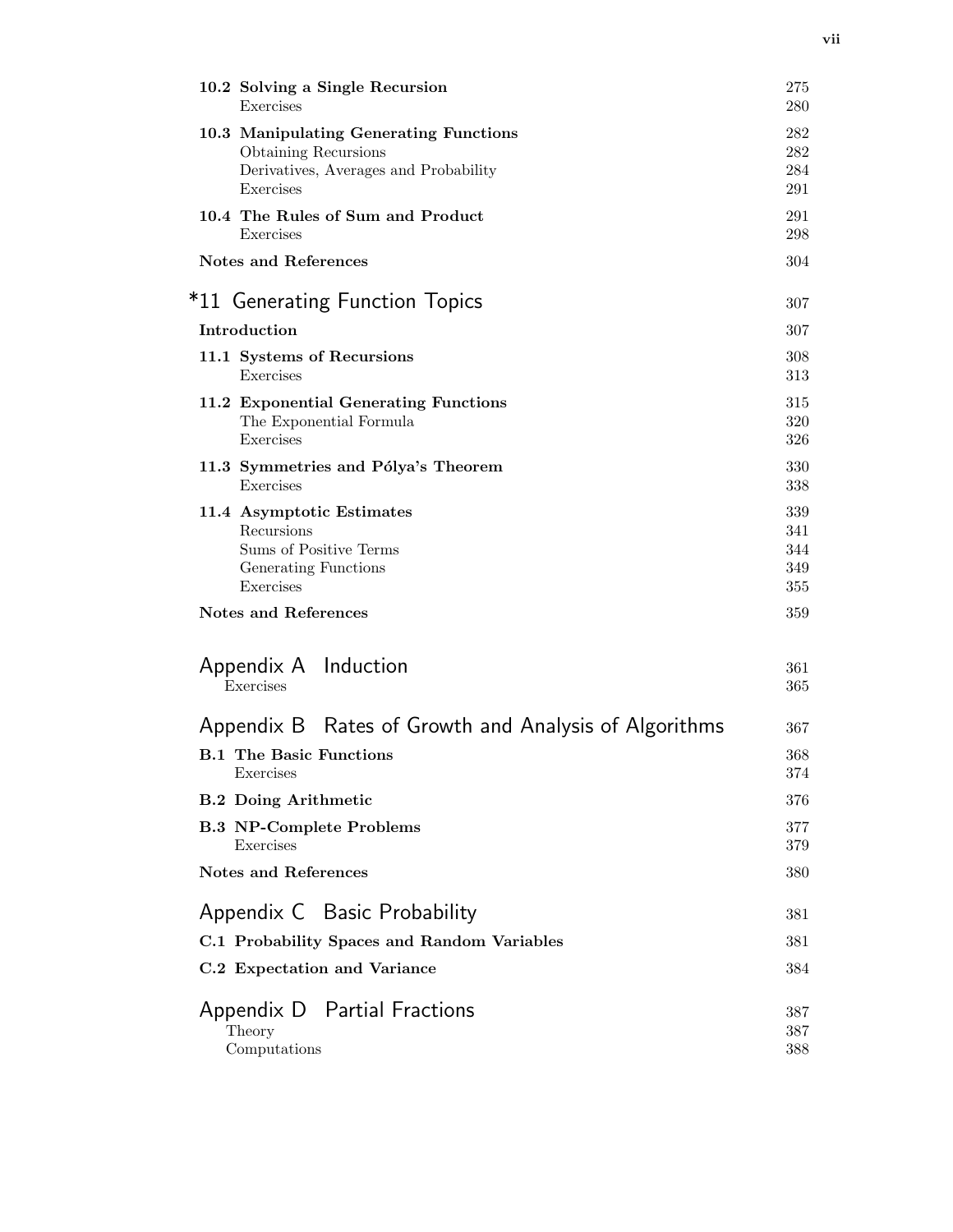| 10.2 Solving a Single Recursion                       | 275 |
|-------------------------------------------------------|-----|
| Exercises                                             | 280 |
| 10.3 Manipulating Generating Functions                | 282 |
| Obtaining Recursions                                  | 282 |
| Derivatives, Averages and Probability                 | 284 |
| Exercises                                             | 291 |
| 10.4 The Rules of Sum and Product                     | 291 |
| Exercises                                             | 298 |
| <b>Notes and References</b>                           | 304 |
| *11 Generating Function Topics                        | 307 |
| Introduction                                          | 307 |
| 11.1 Systems of Recursions                            | 308 |
| Exercises                                             | 313 |
| 11.2 Exponential Generating Functions                 | 315 |
| The Exponential Formula                               | 320 |
| Exercises                                             | 326 |
| 11.3 Symmetries and Pólya's Theorem                   | 330 |
| Exercises                                             | 338 |
| 11.4 Asymptotic Estimates                             | 339 |
| Recursions                                            | 341 |
| Sums of Positive Terms                                | 344 |
| Generating Functions                                  | 349 |
| Exercises                                             | 355 |
| <b>Notes and References</b>                           | 359 |
| Appendix A Induction                                  | 361 |
| Exercises                                             | 365 |
| Appendix B Rates of Growth and Analysis of Algorithms | 367 |
| <b>B.1 The Basic Functions</b>                        | 368 |
| Exercises                                             | 374 |
| <b>B.2 Doing Arithmetic</b>                           | 376 |
| <b>B.3 NP-Complete Problems</b>                       | 377 |
| Exercises                                             | 379 |
| <b>Notes and References</b>                           | 380 |
| Appendix C Basic Probability                          | 381 |
| C.1 Probability Spaces and Random Variables           | 381 |
| C.2 Expectation and Variance                          | 384 |
| Appendix D Partial Fractions                          | 387 |
| Theory                                                | 387 |
| Computations                                          | 388 |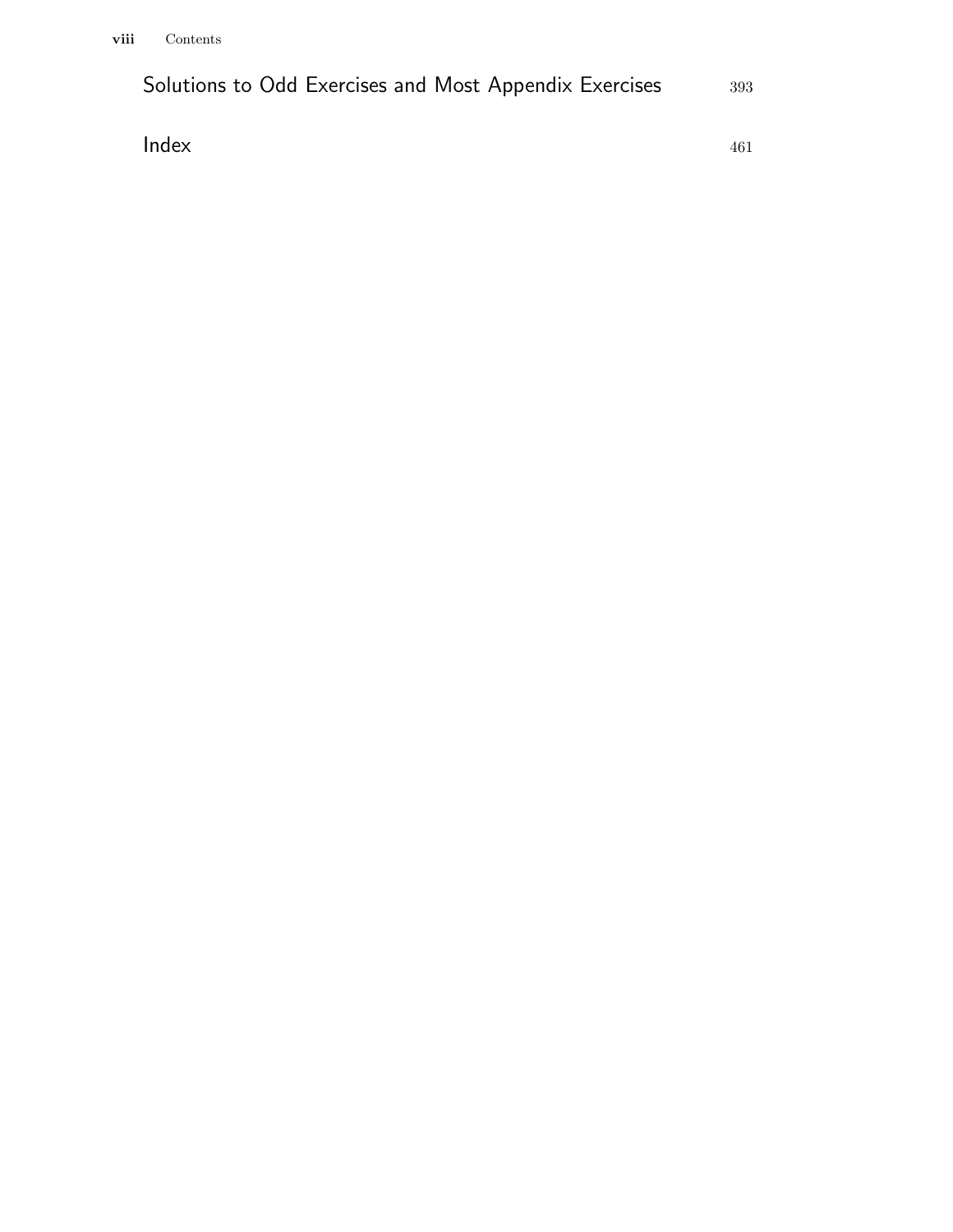| Solutions to Odd Exercises and Most Appendix Exercises | 393 |
|--------------------------------------------------------|-----|
|--------------------------------------------------------|-----|

**Index** 461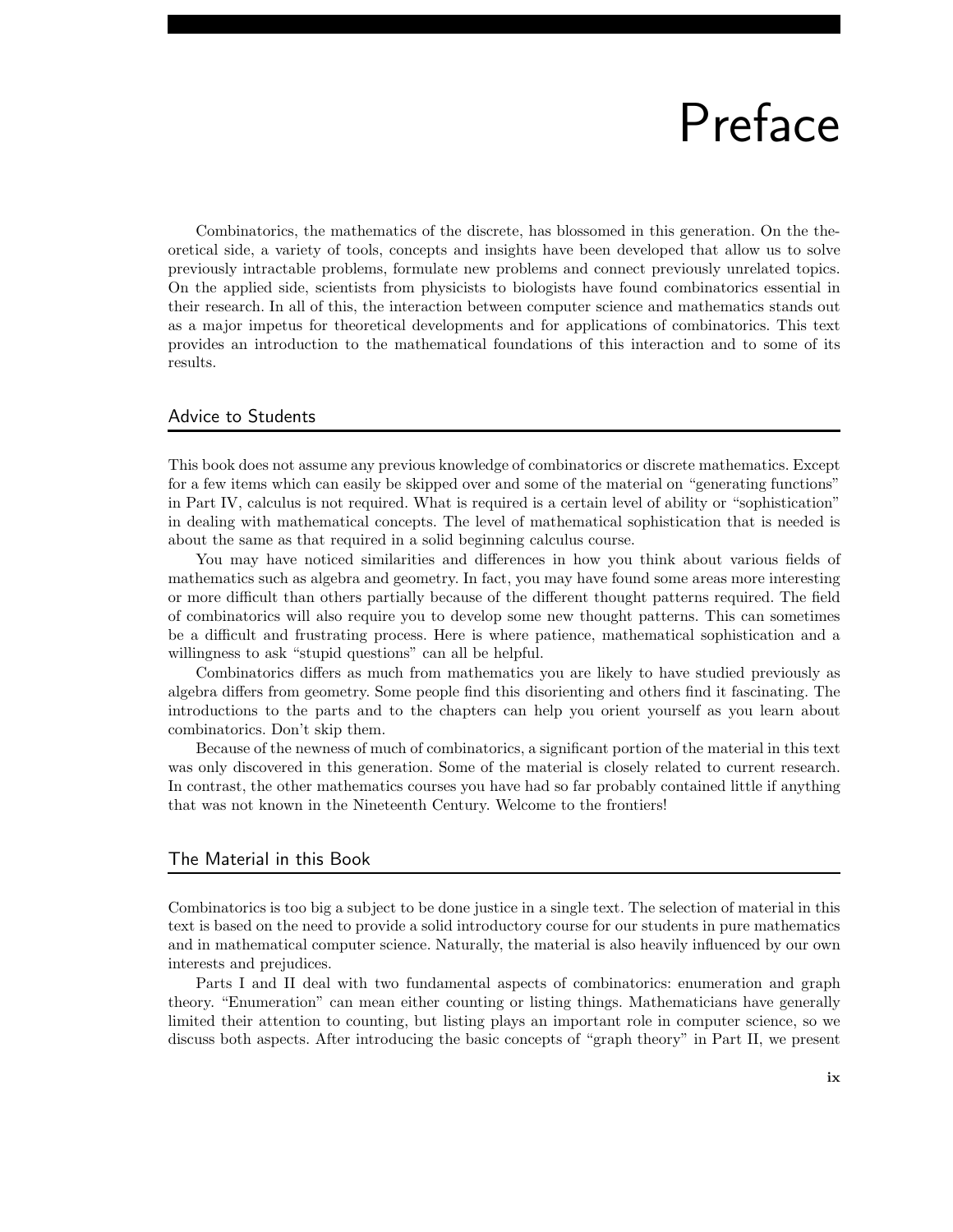### Preface

Combinatorics, the mathematics of the discrete, has blossomed in this generation. On the theoretical side, a variety of tools, concepts and insights have been developed that allow us to solve previously intractable problems, formulate new problems and connect previously unrelated topics. On the applied side, scientists from physicists to biologists have found combinatorics essential in their research. In all of this, the interaction between computer science and mathematics stands out as a major impetus for theoretical developments and for applications of combinatorics. This text provides an introduction to the mathematical foundations of this interaction and to some of its results.

#### Advice to Students

This book does not assume any previous knowledge of combinatorics or discrete mathematics. Except for a few items which can easily be skipped over and some of the material on "generating functions" in Part IV, calculus is not required. What is required is a certain level of ability or "sophistication" in dealing with mathematical concepts. The level of mathematical sophistication that is needed is about the same as that required in a solid beginning calculus course.

You may have noticed similarities and differences in how you think about various fields of mathematics such as algebra and geometry. In fact, you may have found some areas more interesting or more difficult than others partially because of the different thought patterns required. The field of combinatorics will also require you to develop some new thought patterns. This can sometimes be a difficult and frustrating process. Here is where patience, mathematical sophistication and a willingness to ask "stupid questions" can all be helpful.

Combinatorics differs as much from mathematics you are likely to have studied previously as algebra differs from geometry. Some people find this disorienting and others find it fascinating. The introductions to the parts and to the chapters can help you orient yourself as you learn about combinatorics. Don't skip them.

Because of the newness of much of combinatorics, a significant portion of the material in this text was only discovered in this generation. Some of the material is closely related to current research. In contrast, the other mathematics courses you have had so far probably contained little if anything that was not known in the Nineteenth Century. Welcome to the frontiers!

#### The Material in this Book

Combinatorics is too big a subject to be done justice in a single text. The selection of material in this text is based on the need to provide a solid introductory course for our students in pure mathematics and in mathematical computer science. Naturally, the material is also heavily influenced by our own interests and prejudices.

Parts I and II deal with two fundamental aspects of combinatorics: enumeration and graph theory. "Enumeration" can mean either counting or listing things. Mathematicians have generally limited their attention to counting, but listing plays an important role in computer science, so we discuss both aspects. After introducing the basic concepts of "graph theory" in Part II, we present